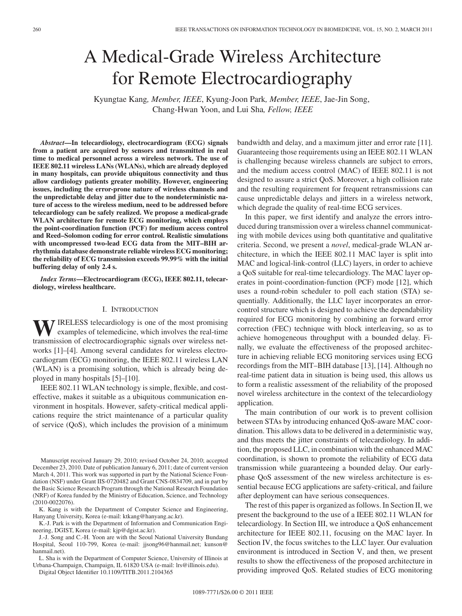# A Medical-Grade Wireless Architecture for Remote Electrocardiography

Kyungtae Kang*, Member, IEEE*, Kyung-Joon Park*, Member, IEEE*, Jae-Jin Song, Chang-Hwan Yoon, and Lui Sha*, Fellow, IEEE*

*Abstract***—In telecardiology, electrocardiogram (ECG) signals from a patient are acquired by sensors and transmitted in real time to medical personnel across a wireless network. The use of IEEE 802.11 wireless LANs (WLANs), which are already deployed in many hospitals, can provide ubiquitous connectivity and thus allow cardiology patients greater mobility. However, engineering issues, including the error-prone nature of wireless channels and the unpredictable delay and jitter due to the nondeterministic nature of access to the wireless medium, need to be addressed before telecardiology can be safely realized. We propose a medical-grade WLAN architecture for remote ECG monitoring, which employs the point-coordination function (PCF) for medium access control and Reed–Solomon coding for error control. Realistic simulations with uncompressed two-lead ECG data from the MIT–BIH arrhythmia database demonstrate reliable wireless ECG monitoring; the reliability of ECG transmission exceeds 99.99% with the initial buffering delay of only 2.4 s.**

*Index Terms***—Electrocardiogram (ECG), IEEE 802.11, telecardiology, wireless healthcare.**

## I. INTRODUCTION

**W**IRELESS telecardiology is one of the most promising examples of telemedicine, which involves the real-time transmission of electrocardiographic signals over wireless networks [1]–[4]. Among several candidates for wireless electrocardiogram (ECG) monitoring, the IEEE 802.11 wireless LAN (WLAN) is a promising solution, which is already being deployed in many hospitals [5]–[10].

IEEE 802.11 WLAN technology is simple, flexible, and costeffective, makes it suitable as a ubiquitous communication environment in hospitals. However, safety-critical medical applications require the strict maintenance of a particular quality of service (QoS), which includes the provision of a minimum

K. Kang is with the Department of Computer Science and Engineering, Hanyang University, Korea (e-mail: ktkang@hanyang.ac.kr).

K.-J. Park is with the Department of Information and Communication Engineering, DGIST, Korea (e-mail: kjp@dgist.ac.kr).

J.-J. Song and C.-H. Yoon are with the Seoul National University Bundang Hospital, Seoul 110-799, Korea (e-mail: jjsong96@hanmail.net; kunson@ hanmail.net).

L. Sha is with the Department of Computer Science, University of Illinois at Urbana-Champaign, Champaign, IL 61820 USA (e-mail: lrs@illinois.edu).

Digital Object Identifier 10.1109/TITB.2011.2104365

bandwidth and delay, and a maximum jitter and error rate [11]. Guaranteeing those requirements using an IEEE 802.11 WLAN is challenging because wireless channels are subject to errors, and the medium access control (MAC) of IEEE 802.11 is not designed to assure a strict QoS. Moreover, a high collision rate and the resulting requirement for frequent retransmissions can cause unpredictable delays and jitters in a wireless network, which degrade the quality of real-time ECG services.

In this paper, we first identify and analyze the errors introduced during transmission over a wireless channel communicating with mobile devices using both quantitative and qualitative criteria. Second, we present a *novel*, medical-grade WLAN architecture, in which the IEEE 802.11 MAC layer is split into MAC and logical-link-control (LLC) layers, in order to achieve a QoS suitable for real-time telecardiology. The MAC layer operates in point-coordination-function (PCF) mode [12], which uses a round-robin scheduler to poll each station (STA) sequentially. Additionally, the LLC layer incorporates an errorcontrol structure which is designed to achieve the dependability required for ECG monitoring by combining an forward error correction (FEC) technique with block interleaving, so as to achieve homogeneous throughput with a bounded delay. Finally, we evaluate the effectiveness of the proposed architecture in achieving reliable ECG monitoring services using ECG recordings from the MIT–BIH database [13], [14]. Although no real-time patient data in situation is being used, this allows us to form a realistic assessment of the reliability of the proposed novel wireless architecture in the context of the telecardiology application.

The main contribution of our work is to prevent collision between STAs by introducing enhanced QoS-aware MAC coordination. This allows data to be delivered in a deterministic way, and thus meets the jitter constraints of telecardiology. In addition, the proposed LLC, in combination with the enhanced MAC coordination, is shown to promote the reliability of ECG data transmission while guaranteeing a bounded delay. Our earlyphase QoS assessment of the new wireless architecture is essential because ECG applications are safety-critical, and failure after deployment can have serious consequences.

The rest of this paper is organized as follows. In Section II, we present the background to the use of a IEEE 802.11 WLAN for telecardiology. In Section III, we introduce a QoS enhancement architecture for IEEE 802.11, focusing on the MAC layer. In Section IV, the focus switches to the LLC layer. Our evaluation environment is introduced in Section V, and then, we present results to show the effectiveness of the proposed architecture in providing improved QoS. Related studies of ECG monitoring

Manuscript received January 29, 2010; revised October 24, 2010; accepted December 23, 2010. Date of publication January 6, 2011; date of current version March 4, 2011. This work was supported in part by the National Science Foundation (NSF) under Grant IIS-0720482 and Grant CNS-0834709, and in part by the Basic Science Research Program through the National Research Foundation (NRF) of Korea funded by the Ministry of Education, Science, and Technology (2010-0022076).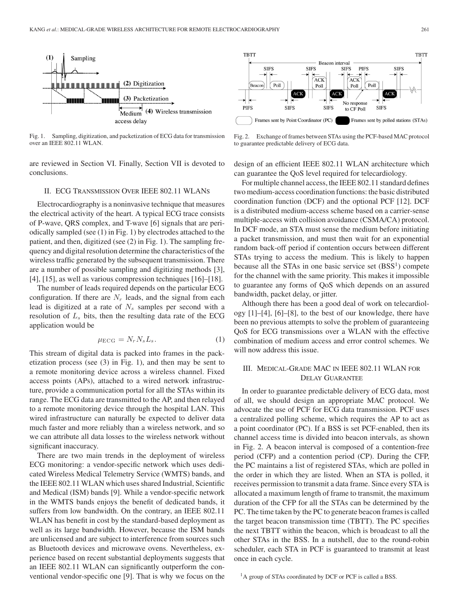

Fig. 1. Sampling, digitization, and packetization of ECG data for transmission over an IEEE 802.11 WLAN.

are reviewed in Section VI. Finally, Section VII is devoted to conclusions.

## II. ECG TRANSMISSION OVER IEEE 802.11 WLANS

Electrocardiography is a noninvasive technique that measures the electrical activity of the heart. A typical ECG trace consists of P-wave, QRS complex, and T-wave [6] signals that are periodically sampled (see (1) in Fig. 1) by electrodes attached to the patient, and then, digitized (see (2) in Fig. 1). The sampling frequency and digital resolution determine the characteristics of the wireless traffic generated by the subsequent transmission. There are a number of possible sampling and digitizing methods [3], [4], [15], as well as various compression techniques [16]–[18].

The number of leads required depends on the particular ECG configuration. If there are  $N_r$  leads, and the signal from each lead is digitized at a rate of  $N<sub>s</sub>$  samples per second with a resolution of  $L<sub>s</sub>$  bits, then the resulting data rate of the ECG application would be

$$
\mu_{\rm ECG} = N_r N_s L_s. \tag{1}
$$

This stream of digital data is packed into frames in the packetization process (see (3) in Fig. 1), and then may be sent to a remote monitoring device across a wireless channel. Fixed access points (APs), attached to a wired network infrastructure, provide a communication portal for all the STAs within its range. The ECG data are transmitted to the AP, and then relayed to a remote monitoring device through the hospital LAN. This wired infrastructure can naturally be expected to deliver data much faster and more reliably than a wireless network, and so we can attribute all data losses to the wireless network without significant inaccuracy.

There are two main trends in the deployment of wireless ECG monitoring: a vendor-specific network which uses dedicated Wireless Medical Telemetry Service (WMTS) bands, and the IEEE 802.11 WLAN which uses shared Industrial, Scientific and Medical (ISM) bands [9]. While a vendor-specific network in the WMTS bands enjoys the benefit of dedicated bands, it suffers from low bandwidth. On the contrary, an IEEE 802.11 WLAN has benefit in cost by the standard-based deployment as well as its large bandwidth. However, because the ISM bands are unlicensed and are subject to interference from sources such as Bluetooth devices and microwave ovens. Nevertheless, experience based on recent substantial deployments suggests that an IEEE 802.11 WLAN can significantly outperform the conventional vendor-specific one [9]. That is why we focus on the



Fig. 2. Exchange of frames between STAs using the PCF-based MAC protocol to guarantee predictable delivery of ECG data.

design of an efficient IEEE 802.11 WLAN architecture which can guarantee the QoS level required for telecardiology.

For multiple channel access, the IEEE 802.11 standard defines two medium-access coordination functions: the basic distributed coordination function (DCF) and the optional PCF [12]. DCF is a distributed medium-access scheme based on a carrier-sense multiple-access with collision avoidance (CSMA/CA) protocol. In DCF mode, an STA must sense the medium before initiating a packet transmission, and must then wait for an exponential random back-off period if contention occurs between different STAs trying to access the medium. This is likely to happen because all the STAs in one basic service set  $(BSS<sup>1</sup>)$  compete for the channel with the same priority. This makes it impossible to guarantee any forms of QoS which depends on an assured bandwidth, packet delay, or jitter.

Although there has been a good deal of work on telecardiology [1]–[4], [6]–[8], to the best of our knowledge, there have been no previous attempts to solve the problem of guaranteeing QoS for ECG transmissions over a WLAN with the effective combination of medium access and error control schemes. We will now address this issue.

# III. MEDICAL-GRADE MAC IN IEEE 802.11 WLAN FOR DELAY GUARANTEE

In order to guarantee predictable delivery of ECG data, most of all, we should design an appropriate MAC protocol. We advocate the use of PCF for ECG data transmission. PCF uses a centralized polling scheme, which requires the AP to act as a point coordinator (PC). If a BSS is set PCF-enabled, then its channel access time is divided into beacon intervals, as shown in Fig. 2. A beacon interval is composed of a contention-free period (CFP) and a contention period (CP). During the CFP, the PC maintains a list of registered STAs, which are polled in the order in which they are listed. When an STA is polled, it receives permission to transmit a data frame. Since every STA is allocated a maximum length of frame to transmit, the maximum duration of the CFP for all the STAs can be determined by the PC. The time taken by the PC to generate beacon frames is called the target beacon transmission time (TBTT). The PC specifies the next TBTT within the beacon, which is broadcast to all the other STAs in the BSS. In a nutshell, due to the round-robin scheduler, each STA in PCF is guaranteed to transmit at least once in each cycle.

<sup>1</sup>A group of STAs coordinated by DCF or PCF is called a BSS.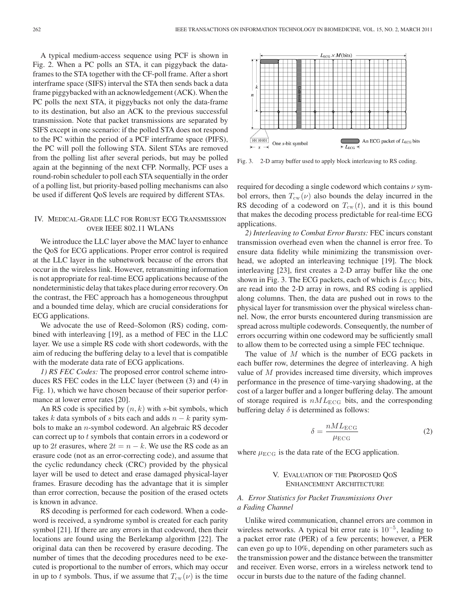A typical medium-access sequence using PCF is shown in Fig. 2. When a PC polls an STA, it can piggyback the dataframes to the STA together with the CF-poll frame. After a short interframe space (SIFS) interval the STA then sends back a data frame piggybacked with an acknowledgement (ACK). When the PC polls the next STA, it piggybacks not only the data-frame to its destination, but also an ACK to the previous successful transmission. Note that packet transmissions are separated by SIFS except in one scenario: if the polled STA does not respond to the PC within the period of a PCF interframe space (PIFS), the PC will poll the following STA. Silent STAs are removed from the polling list after several periods, but may be polled again at the beginning of the next CFP. Normally, PCF uses a round-robin scheduler to poll each STA sequentially in the order of a polling list, but priority-based polling mechanisms can also be used if different QoS levels are required by different STAs.

# IV. MEDICAL-GRADE LLC FOR ROBUST ECG TRANSMISSION OVER IEEE 802.11 WLANS

We introduce the LLC layer above the MAC layer to enhance the QoS for ECG applications. Proper error control is required at the LLC layer in the subnetwork because of the errors that occur in the wireless link. However, retransmitting information is not appropriate for real-time ECG applications because of the nondeterministic delay that takes place during error recovery. On the contrast, the FEC approach has a homogeneous throughput and a bounded time delay, which are crucial considerations for ECG applications.

We advocate the use of Reed–Solomon (RS) coding, combined with interleaving [19], as a method of FEC in the LLC layer. We use a simple RS code with short codewords, with the aim of reducing the buffering delay to a level that is compatible with the moderate data rate of ECG applications.

*1) RS FEC Codes:* The proposed error control scheme introduces RS FEC codes in the LLC layer (between (3) and (4) in Fig. 1), which we have chosen because of their superior performance at lower error rates [20].

An RS code is specified by  $(n, k)$  with s-bit symbols, which takes k data symbols of s bits each and adds  $n - k$  parity symbols to make an n-symbol codeword. An algebraic RS decoder can correct up to t symbols that contain errors in a codeword or up to 2t erasures, where  $2t = n - k$ . We use the RS code as an erasure code (not as an error-correcting code), and assume that the cyclic redundancy check (CRC) provided by the physical layer will be used to detect and erase damaged physical-layer frames. Erasure decoding has the advantage that it is simpler than error correction, because the position of the erased octets is known in advance.

RS decoding is performed for each codeword. When a codeword is received, a syndrome symbol is created for each parity symbol [21]. If there are any errors in that codeword, then their locations are found using the Berlekamp algorithm [22]. The original data can then be recovered by erasure decoding. The number of times that the decoding procedures need to be executed is proportional to the number of errors, which may occur in up to t symbols. Thus, if we assume that  $T_{\rm cw}(\nu)$  is the time



Fig. 3. 2-D array buffer used to apply block interleaving to RS coding.

required for decoding a single codeword which contains  $\nu$  symbol errors, then  $T_{\rm cw}(\nu)$  also bounds the delay incurred in the RS decoding of a codeword on  $T_{\rm cw}(t)$ , and it is this bound that makes the decoding process predictable for real-time ECG applications.

*2) Interleaving to Combat Error Bursts:* FEC incurs constant transmission overhead even when the channel is error free. To ensure data fidelity while minimizing the transmission overhead, we adopted an interleaving technique [19]. The block interleaving [23], first creates a 2-D array buffer like the one shown in Fig. 3. The ECG packets, each of which is  $L_{\text{ECG}}$  bits, are read into the 2-D array in rows, and RS coding is applied along columns. Then, the data are pushed out in rows to the physical layer for transmission over the physical wireless channel. Now, the error bursts encountered during transmission are spread across multiple codewords. Consequently, the number of errors occurring within one codeword may be sufficiently small to allow them to be corrected using a simple FEC technique.

The value of M which is the number of ECG packets in each buffer row, determines the degree of interleaving. A high value of M provides increased time diversity, which improves performance in the presence of time-varying shadowing, at the cost of a larger buffer and a longer buffering delay. The amount of storage required is  $nML_{\text{ECG}}$  bits, and the corresponding buffering delay  $\delta$  is determined as follows:

$$
\delta = \frac{nML_{\rm ECG}}{\mu_{\rm ECG}}\tag{2}
$$

where  $\mu_{\text{ECG}}$  is the data rate of the ECG application.

# V. EVALUATION OF THE PROPOSED QOS ENHANCEMENT ARCHITECTURE

# *A. Error Statistics for Packet Transmissions Over a Fading Channel*

Unlike wired communication, channel errors are common in wireless networks. A typical bit error rate is  $10^{-5}$ , leading to a packet error rate (PER) of a few percents; however, a PER can even go up to 10%, depending on other parameters such as the transmission power and the distance between the transmitter and receiver. Even worse, errors in a wireless network tend to occur in bursts due to the nature of the fading channel.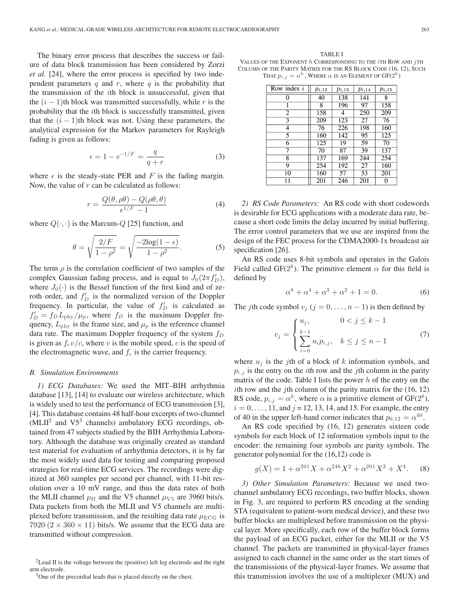The binary error process that describes the success or failure of data block transmission has been considered by Zorzi *et al.* [24], where the error process is specified by two independent parameters q and r, where q is the probability that the transmission of the ith block is unsuccessful, given that the  $(i - 1)$ th block was transmitted successfully, while r is the probability that the ith block is successfully transmitted, given that the  $(i - 1)$ th block was not. Using these parameters, the analytical expression for the Markov parameters for Rayleigh fading is given as follows:

$$
\epsilon = 1 - e^{-1/F} = \frac{q}{q+r} \tag{3}
$$

where  $\epsilon$  is the steady-state PER and F is the fading margin. Now, the value of  $r$  can be calculated as follows:

$$
r = \frac{Q(\theta, \rho\theta) - Q(\rho\theta, \theta)}{e^{1/F} - 1}
$$
 (4)

where  $Q(\cdot, \cdot)$  is the Marcum- $Q$  [25] function, and

$$
\theta = \sqrt{\frac{2/F}{1 - \rho^2}} = \sqrt{\frac{-2\log(1 - \epsilon)}{1 - \rho^2}}.
$$
\n(5)

The term  $\rho$  is the correlation coefficient of two samples of the complex Gaussian fading process, and is equal to  $J_0(2\pi f'_D)$ , where  $J_0(\cdot)$  is the Bessel function of the first kind and of zeroth order, and  $f'_D$  is the normalized version of the Doppler frequency. In particular, the value of  $f'_D$  is calculated as  $f'_D = f_D L_{\text{phy}} / \mu_p$ , where  $f_D$  is the maximum Doppler frequency,  $L_{\rm phy}$  is the frame size, and  $\mu_p$  is the reference channel data rate. The maximum Doppler frequency of the system  $f_D$ is given as  $f_c v/c$ , where v is the mobile speed, c is the speed of the electromagnetic wave, and  $f_c$  is the carrier frequency.

#### *B. Simulation Environments*

*1) ECG Databases:* We used the MIT–BIH arrhythmia database [13], [14] to evaluate our wireless architecture, which is widely used to test the performance of ECG transmission [3], [4]. This database contains 48 half-hour excerpts of two-channel  $(MLII<sup>2</sup>$  and  $V5<sup>3</sup>$  channels) ambulatory ECG recordings, obtained from 47 subjects studied by the BIH Arrhythmia Laboratory. Although the database was originally created as standard test material for evaluation of arrhythmia detectors, it is by far the most widely used data for testing and comparing proposed strategies for real-time ECG services. The recordings were digitized at 360 samples per second per channel, with 11-bit resolution over a 10 mV range, and thus the data rates of both the MLII channel  $\mu_{II}$  and the V5 channel  $\mu_{V5}$  are 3960 bits/s. Data packets from both the MLII and V5 channels are multiplexed before transmission, and the resulting data rate  $\mu_{\text{ECG}}$  is 7920 ( $2 \times 360 \times 11$ ) bits/s. We assume that the ECG data are transmitted without compression.

TABLE I VALUES OF THE EXPONENT  $h$  CORRESPONDING TO THE  $i$ th ROW AND  $j$ th COLUMN OF THE PARITY MATRIX FOR THE RS BLOCK CODE (16, 12), SUCH THAT  $p_{i,j} = \alpha^h$ , WHERE  $\alpha$  is an ELEMENT OF  $GF(2^8)$ 

| Row index $i$ | $p_{i,12}$ | $p_{i,13}$ | $p_{i,14}$ | $p_{i,15}$ |
|---------------|------------|------------|------------|------------|
| 0             | 40         | 138        | 141        | 8          |
|               | 8          | 196        | 97         | 158        |
| 2             | 158        | 4          | 250        | 209        |
| 3             | 209        | 123        | 27         | 76         |
| 4             | 76         | 226        | 198        | 160        |
| 5             | 160        | 142        | 95         | 125        |
| 6             | 125        | 19         | 59         | 70         |
|               | 70         | 87         | 39         | 137        |
| 8             | 137        | 169        | 244        | 254        |
| 9             | 254        | 192        | 27         | 160        |
| 10            | 160        | 57         | 53         | 201        |
|               | 201        | 246        | 201        | 0          |

*2) RS Code Parameters:* An RS code with short codewords is desirable for ECG applications with a moderate data rate, because a short code limits the delay incurred by initial buffering. The error control parameters that we use are inspired from the design of the FEC process for the CDMA2000-1x broadcast air specification [26].

An RS code uses 8-bit symbols and operates in the Galois Field called GF( $2^8$ ). The primitive element  $\alpha$  for this field is defined by

$$
\alpha^8 + \alpha^4 + \alpha^3 + \alpha^2 + 1 = 0.
$$
 (6)

The jth code symbol  $v_j$  (j = 0, ..., n – 1) is then defined by

$$
v_j = \begin{cases} u_j, & 0 < j \le k - 1 \\ \sum_{i=0}^{k-1} u_i p_{i,j}, & k \le j \le n - 1 \end{cases}
$$
 (7)

where  $u_j$  is the jth of a block of k information symbols, and  $p_{i,j}$  is the entry on the *i*th row and the *j*th column in the parity matrix of the code. Table I lists the power  $h$  of the entry on the *i*th row and the *j*th column of the parity matrix for the  $(16, 12)$ RS code,  $p_{i,j} = \alpha^h$ , where  $\alpha$  is a primitive element of GF(2<sup>8</sup>),  $i = 0, \ldots, 11$ , and  $j = 12, 13, 14$ , and 15. For example, the entry of 40 in the upper left-hand corner indicates that  $p_{0,12} = \alpha^{40}$ .

An RS code specified by (16, 12) generates sixteen code symbols for each block of 12 information symbols input to the encoder: the remaining four symbols are parity symbols. The generator polynomial for the (16,12) code is

$$
g(X) = 1 + \alpha^{201} X + \alpha^{246} X^2 + \alpha^{201} X^3 + X^4. \tag{8}
$$

*3) Other Simulation Parameters:* Because we used twochannel ambulatory ECG recordings, two buffer blocks, shown in Fig. 3, are required to perform RS encoding at the sending STA (equivalent to patient-worn medical device), and these two buffer blocks are multiplexed before transmission on the physical layer. More specifically, each row of the buffer block forms the payload of an ECG packet, either for the MLII or the V5 channel. The packets are transmitted in physical-layer frames assigned to each channel in the same order as the start times of the transmissions of the physical-layer frames. We assume that this transmission involves the use of a multiplexer (MUX) and

 $2$ Lead II is the voltage between the (positive) left leg electrode and the right arm electrode.<br><sup>3</sup>One of the precordial leads that is placed directly on the chest.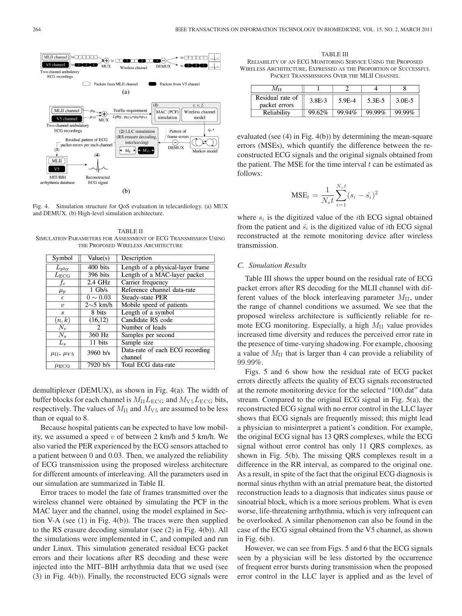

Fig. 4. Simulation structure for QoS evaluation in telecardiology. (a) MUX and DEMUX. (b) High-level simulation architecture.

TABLE II SIMULATION PARAMETERS FOR ASSESSMENT OF ECG TRANSMISSION USING THE PROPOSED WIRELESS ARCHITECTURE

| Symbol                        | Value(s)       | Description                      |
|-------------------------------|----------------|----------------------------------|
| $L_{\rm phy}$                 | 400 bits       | Length of a physical-layer frame |
| $L_{\rm ECG}$                 | 396 bits       | Length of a MAC-layer packet     |
| $f_c$                         | $2.4$ GHz      | Carrier frequency                |
| $\mu_p$                       | $1$ Gb/s       | Reference channel data-rate      |
| $\epsilon$                    | $0 \sim 0.03$  | Steady-state PER                 |
| $\boldsymbol{\eta}$           | $2\sim 5$ km/h | Mobile speed of patients         |
| s                             | 8 bits         | Length of a symbol               |
| (n,k)                         | (16, 12)       | Candidate RS code                |
| $N_r$                         | 2              | Number of leads                  |
| $N_{s}$                       | 360 Hz         | Samples per second               |
| L,                            | 11 bits        | Sample size                      |
| $\mu$ II, $\mu$ <sub>V5</sub> | 3960 b/s       | Data-rate of each ECG recording  |
|                               |                | channel                          |
| $\mu_{\rm ECG}$               | 7920 h/s       | Total ECG data-rate              |

demultiplexer (DEMUX), as shown in Fig. 4(a). The width of buffer blocks for each channel is  $M_{\text{ILECG}}$  and  $M_{\text{V5}}L_{\text{ECG}}$  bits, respectively. The values of  $M_{\text{II}}$  and  $M_{\text{V5}}$  are assumed to be less than or equal to 8.

Because hospital patients can be expected to have low mobility, we assumed a speed  $v$  of between 2 km/h and 5 km/h. We also varied the PER experienced by the ECG sensors attached to a patient between 0 and 0.03. Then, we analyzed the reliability of ECG transmission using the proposed wireless architecture for different amounts of interleaving. All the parameters used in our simulation are summarized in Table II.

Error traces to model the fate of frames transmitted over the wireless channel were obtained by simulating the PCF in the MAC layer and the channel, using the model explained in Section V-A (see (1) in Fig. 4(b)). The traces were then supplied to the RS erasure decoding simulator (see (2) in Fig. 4(b)). All the simulations were implemented in C, and compiled and run under Linux. This simulation generated residual ECG packet errors and their locations after RS decoding and these were injected into the MIT–BIH arrhythmia data that we used (see (3) in Fig. 4(b)). Finally, the reconstructed ECG signals were

TABLE III RELIABILITY OF AN ECG MONITORING SERVICE USING THE PROPOSED WIRELESS ARCHITECTURE, EXPRESSED AS THE PROPORTION OF SUCCESSFUL PACKET TRANSMISSIONS OVER THE MLII CHANNEL

| Мн                                |        |                     |        |           |
|-----------------------------------|--------|---------------------|--------|-----------|
| Residual rate of<br>packet errors | 3.8E-3 | 5.9 <sub>E</sub> -4 | 5.3E-5 | $3.0E-5$  |
| Reliability                       | 99.62% | 99.94%              | 99.99% | $99.99\%$ |

evaluated (see (4) in Fig. 4(b)) by determining the mean-square errors (MSEs), which quantify the difference between the reconstructed ECG signals and the original signals obtained from the patient. The MSE for the time interval  $t$  can be estimated as follows:

$$
MSE_t = \frac{1}{N_s t} \sum_{i=1}^{N_s t} (s_i - \hat{s_i})^2
$$

where  $s_i$  is the digitized value of the *i*th ECG signal obtained from the patient and  $\hat{s_i}$  is the digitized value of *i*th ECG signal reconstructed at the remote monitoring device after wireless transmission.

## *C. Simulation Results*

Table III shows the upper bound on the residual rate of ECG packet errors after RS decoding for the MLII channel with different values of the block interleaving parameter  $M_{\rm II}$ , under the range of channel conditions we assumed. We see that the proposed wireless architecture is sufficiently reliable for remote ECG monitoring. Especially, a high  $M_{II}$  value provides increased time diversity and reduces the perceived error rate in the presence of time-varying shadowing. For example, choosing a value of  $M_{\text{II}}$  that is larger than 4 can provide a reliability of 99.99%.

Figs. 5 and 6 show how the residual rate of ECG packet errors directly affects the quality of ECG signals reconstructed at the remote monitoring device for the selected "100.dat" data stream. Compared to the original ECG signal in Fig. 5(a), the reconstructed ECG signal with no error control in the LLC layer shows that ECG signals are frequently missed; this might lead a physician to misinterpret a patient's condition. For example, the original ECG signal has 13 QRS complexes, while the ECG signal without error control has only 11 QRS complexes, as shown in Fig. 5(b). The missing QRS complexes result in a difference in the RR interval, as compared to the original one. As a result, in spite of the fact that the original ECG diagnosis is normal sinus rhythm with an atrial premature beat, the distorted reconstruction leads to a diagnosis that indicates sinus pause or sinoatrial block, which is a more serious problem. What is even worse, life-threatening arrhythmia, which is very infrequent can be overlooked. A similar phenomenon can also be found in the case of the ECG signal obtained from the V5 channel, as shown in Fig. 6(b).

However, we can see from Figs. 5 and 6 that the ECG signals seen by a physician will be less distorted by the occurrence of frequent error bursts during transmission when the proposed error control in the LLC layer is applied and as the level of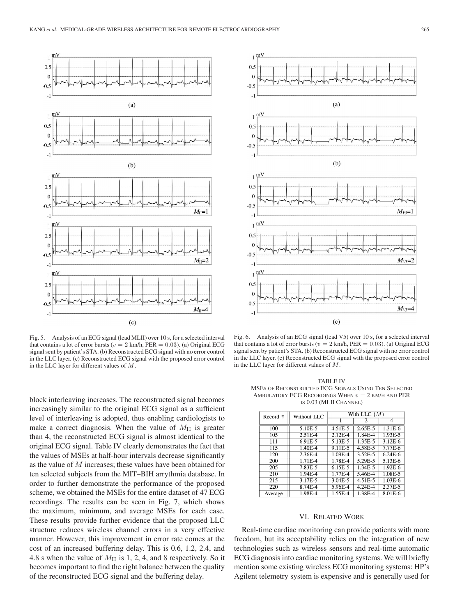

Fig. 5. Analysis of an ECG signal (lead MLII) over 10 s, for a selected interval that contains a lot of error bursts ( $v = 2$  km/h, PER = 0.03). (a) Original ECG signal sent by patient's STA. (b) Reconstructed ECG signal with no error control in the LLC layer. (c) Reconstructed ECG signal with the proposed error control in the LLC layer for different values of M.

block interleaving increases. The reconstructed signal becomes increasingly similar to the original ECG signal as a sufficient level of interleaving is adopted, thus enabling cardiologists to make a correct diagnosis. When the value of  $M_{\text{II}}$  is greater than 4, the reconstructed ECG signal is almost identical to the original ECG signal. Table IV clearly demonstrates the fact that the values of MSEs at half-hour intervals decrease significantly as the value of M increases; these values have been obtained for ten selected subjects from the MIT–BIH arrythmia database. In order to further demonstrate the performance of the proposed scheme, we obtained the MSEs for the entire dataset of 47 ECG recordings. The results can be seen in Fig. 7, which shows the maximum, minimum, and average MSEs for each case. These results provide further evidence that the proposed LLC structure reduces wireless channel errors in a very effective manner. However, this improvement in error rate comes at the cost of an increased buffering delay. This is 0.6, 1.2, 2.4, and 4.8 s when the value of  $M_{\text{II}}$  is 1, 2, 4, and 8 respectively. So it becomes important to find the right balance between the quality of the reconstructed ECG signal and the buffering delay.



Fig. 6. Analysis of an ECG signal (lead V5) over 10 s, for a selected interval that contains a lot of error bursts ( $v = 2$  km/h, PER = 0.03). (a) Original ECG signal sent by patient's STA. (b) Reconstructed ECG signal with no error control in the LLC layer. (c) Reconstructed ECG signal with the proposed error control in the LLC layer for different values of M.

TABLE IV MSES OF RECONSTRUCTED ECG SIGNALS USING TEN SELECTED AMBULATORY ECG RECORDINGS WHEN  $v = 2$  KM/H AND PER IS 0.03 (MLII CHANNEL)

| Record #         | Without LLC | With LLC $(M)$ |             |           |
|------------------|-------------|----------------|-------------|-----------|
|                  |             |                | 2           | 4         |
| 100              | 5.10E-5     | 4.51E-5        | 2.65E-5     | 1.31E-6   |
| 105              | $2.51E - 4$ | $2.12E - 4$    | 1.84E-4     | $1.93E-5$ |
| 111              | $6.91E-5$   | 5.13E-5        | 1.35E-5     | $3.12E-6$ |
| $\overline{115}$ | 1.40E-4     | 9.11E-5        | 4.58E-5     | $7.77E-6$ |
| 120              | 2.36E-4     | 1.09E-4        | 3.52E-5     | $6.24E-6$ |
| 200              | 1.71E-4     | 1.78E-4        | 5.29E-5     | 5.13E-6   |
| 205              | 7.83E-5     | 6.15E-5        | 1.34E-5     | 1.92E-6   |
| 210              | 1.94E-4     | 1.77E-4        | 5.46E-4     | 1.08E-5   |
| 215              | $3.17E-5$   | $3.04E - 5$    | $4.51E - 5$ | $1.03E-6$ |
| 220              | 8.74E-4     | 5.96E-4        | $4.24E - 4$ | 2.37E-5   |
| Average          | 1.98E-4     | $1.55E-4$      | 1.38E-4     | 8.01E-6   |

## VI. RELATED WORK

Real-time cardiac monitoring can provide patients with more freedom, but its acceptability relies on the integration of new technologies such as wireless sensors and real-time automatic ECG diagnosis into cardiac monitoring systems. We will briefly mention some existing wireless ECG monitoring systems: HP's Agilent telemetry system is expensive and is generally used for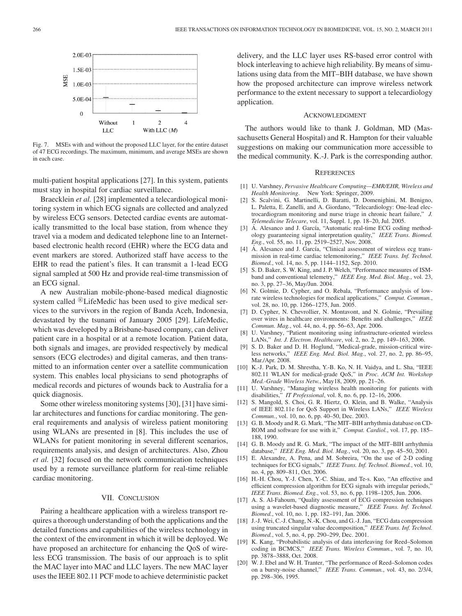

Fig. 7. MSEs with and without the proposed LLC layer, for the entire dataset of 47 ECG recordings. The maximum, minimum, and average MSEs are shown in each case.

multi-patient hospital applications [27]. In this system, patients must stay in hospital for cardiac surveillance.

Braecklein *et al.* [28] implemented a telecardiological monitoring system in which ECG signals are collected and analyzed by wireless ECG sensors. Detected cardiac events are automatically transmitted to the local base station, from whence they travel via a modem and dedicated telephone line to an Internetbased electronic health record (EHR) where the ECG data and event markers are stored. Authorized staff have access to the EHR to read the patient's files. It can transmit a 1-lead ECG signal sampled at 500 Hz and provide real-time transmission of an ECG signal.

A new Australian mobile-phone-based medical diagnostic system called  $\mathcal{B}$  LifeMedic $\bar{\ }$  has been used to give medical services to the survivors in the region of Banda Aceh, Indonesia, devastated by the tsunami of January 2005 [29]. LifeMedic, which was developed by a Brisbane-based company, can deliver patient care in a hospital or at a remote location. Patient data, both signals and images, are provided respectively by medical sensors (ECG electrodes) and digital cameras, and then transmitted to an information center over a satellite communication system. This enables local physicians to send photographs of medical records and pictures of wounds back to Australia for a quick diagnosis.

Some other wireless monitoring systems [30], [31] have similar architectures and functions for cardiac monitoring. The general requirements and analysis of wireless patient monitoring using WLANs are presented in [8]. This includes the use of WLANs for patient monitoring in several different scenarios, requirements analysis, and design of architectures. Also, Zhou *et al.* [32] focused on the network communication techniques used by a remote surveillance platform for real-time reliable cardiac monitoring.

#### VII. CONCLUSION

Pairing a healthcare application with a wireless transport requires a thorough understanding of both the applications and the detailed functions and capabilities of the wireless technology in the context of the environment in which it will be deployed. We have proposed an architecture for enhancing the QoS of wireless ECG transmission. The basis of our approach is to split the MAC layer into MAC and LLC layers. The new MAC layer uses the IEEE 802.11 PCF mode to achieve deterministic packet

delivery, and the LLC layer uses RS-based error control with block interleaving to achieve high reliability. By means of simulations using data from the MIT–BIH database, we have shown how the proposed architecture can improve wireless network performance to the extent necessary to support a telecardiology application.

# ACKNOWLEDGMENT

The authors would like to thank J. Goldman, MD (Massachusetts General Hospital) and R. Hampton for their valuable suggestions on making our communication more accessible to the medical community. K.-J. Park is the corresponding author.

#### **REFERENCES**

- [1] U. Varshney, *Pervasive Healthcare Computing—EMR/EHR, Wireless and Health Monitoring*. New York: Springer, 2009.
- [2] S. Scalvini, G. Martinelli, D. Baratti, D. Domenighini, M. Benigno, L. Paletta, E. Zanelli, and A. Giordano, "Telecardiology: One-lead electrocardiogram monitoring and nurse triage in chronic heart failure," *J. Telemedicine Telecare*, vol. 11, Suppl. 1, pp. 18–20, Jul. 2005.
- [3] Á. Alesanco and J. García, "Automatic real-time ECG coding methodology guaranteeing signal interpretation quality," *IEEE Trans. Biomed. Eng.*, vol. 55, no. 11, pp. 2519–2527, Nov. 2008.
- [4] Á. Alesanco and J. García, "Clinical assessment of wireless ecg transmission in real-time cardiac telemonitoring," *IEEE Trans. Inf. Technol. Biomed.*, vol. 14, no. 5, pp. 1144–1152, Sep. 2010.
- [5] S. D. Baker, S. W. King, and J. P. Welch, "Performance measures of ISMband and conventional telemetry," *IEEE Eng. Med. Biol. Mag.*, vol. 23, no. 3, pp. 27–36, May/Jun. 2004.
- [6] N. Golmie, D. Cypher, and O. Rebala, "Performance analysis of lowrate wireless technologies for medical applications," *Comput. Commun.*, vol. 28, no. 10, pp. 1266–1275, Jun. 2005.
- [7] D. Cypher, N. Chevrollier, N. Montavont, and N. Golmie, "Prevailing over wires in healthcare environments: Benefits and challenges," *IEEE Commun. Mag.*, vol. 44, no. 4, pp. 56–63, Apr. 2006.
- [8] U. Varshney, "Patient monitoring using infrastructure-oriented wireless LANs," *Int. J. Electron. Healthcare*, vol. 2, no. 2, pp. 149–163, 2006.
- [9] S. D. Baker and D. H. Hoglund, "Medical-grade, mission-critical wireless networks," *IEEE Eng. Med. Biol. Mag.*, vol. 27, no. 2, pp. 86–95, Mar./Apr. 2008.
- [10] K.-J. Park, D. M. Shrestha, Y.-B. Ko, N. H. Vaidya, and L. Sha, "IEEE 802.11 WLAN for medical-grade QoS," in *Proc. ACM Int. Workshop Med.-Grade Wireless Netw.*, May18, 2009, pp. 21–26.
- [11] U. Varshney, "Managing wireless health monitoring for patients with disabilities," *IT Professional*, vol. 8, no. 6, pp. 12–16, 2006.
- [12] S. Mangold, S. Choi, G. R. Hiertz, O. Klein, and B. Walke, "Analysis of IEEE 802.11e for QoS Support in Wireless LANs," *IEEE Wireless Commun.*, vol. 10, no. 6, pp. 40–50, Dec. 2003.
- [13] G. B. Moody and R. G. Mark, "The MIT–BIH arrhythmia database on CD-ROM and software for use with it," *Comput. Cardiol.*, vol. 17, pp. 185– 188, 1990.
- [14] G. B. Moody and R. G. Mark, "The impact of the MIT-BIH arrhythmia database," *IEEE Eng. Med. Biol. Mag.*, vol. 20, no. 3, pp. 45–50, 2001.
- [15] E. Alexandre, A. Pena, and M. Sobreira, "On the use of 2-D coding techniques for ECG signals," *IEEE Trans. Inf. Technol. Biomed.*, vol. 10, no. 4, pp. 809–811, Oct. 2006.
- [16] H.-H. Chou, Y.-J. Chen, Y.-C. Shiau, and Te-s. Kuo, "An effective and efficient compression algorithm for ECG signals with irregular periods," *IEEE Trans. Biomed. Eng.*, vol. 53, no. 6, pp. 1198–1205, Jun. 2006.
- [17] A. S. Al-Fahoum, "Quality assessment of ECG compression techniques using a wavelet-based diagnostic measure," *IEEE Trans. Inf. Technol. Biomed.*, vol. 10, no. 1, pp. 182–191, Jan. 2006.
- [18] J.-J. Wei, C.-J. Chang, N.-K. Chou, and G.-J. Jan, "ECG data compression using truncated singular value decomposition," *IEEE Trans. Inf. Technol. Biomed.*, vol. 5, no. 4, pp. 290–299, Dec. 2001.
- [19] K. Kang, "Probabilistic analysis of data interleaving for Reed–Solomon coding in BCMCS," *IEEE Trans. Wireless Commun.*, vol. 7, no. 10, pp. 3878–3888, Oct. 2008.
- [20] W. J. Ebel and W. H. Tranter, "The performance of Reed–Solomon codes on a bursty-noise channel," *IEEE Trans. Commun.*, vol. 43, no. 2/3/4, pp. 298–306, 1995.